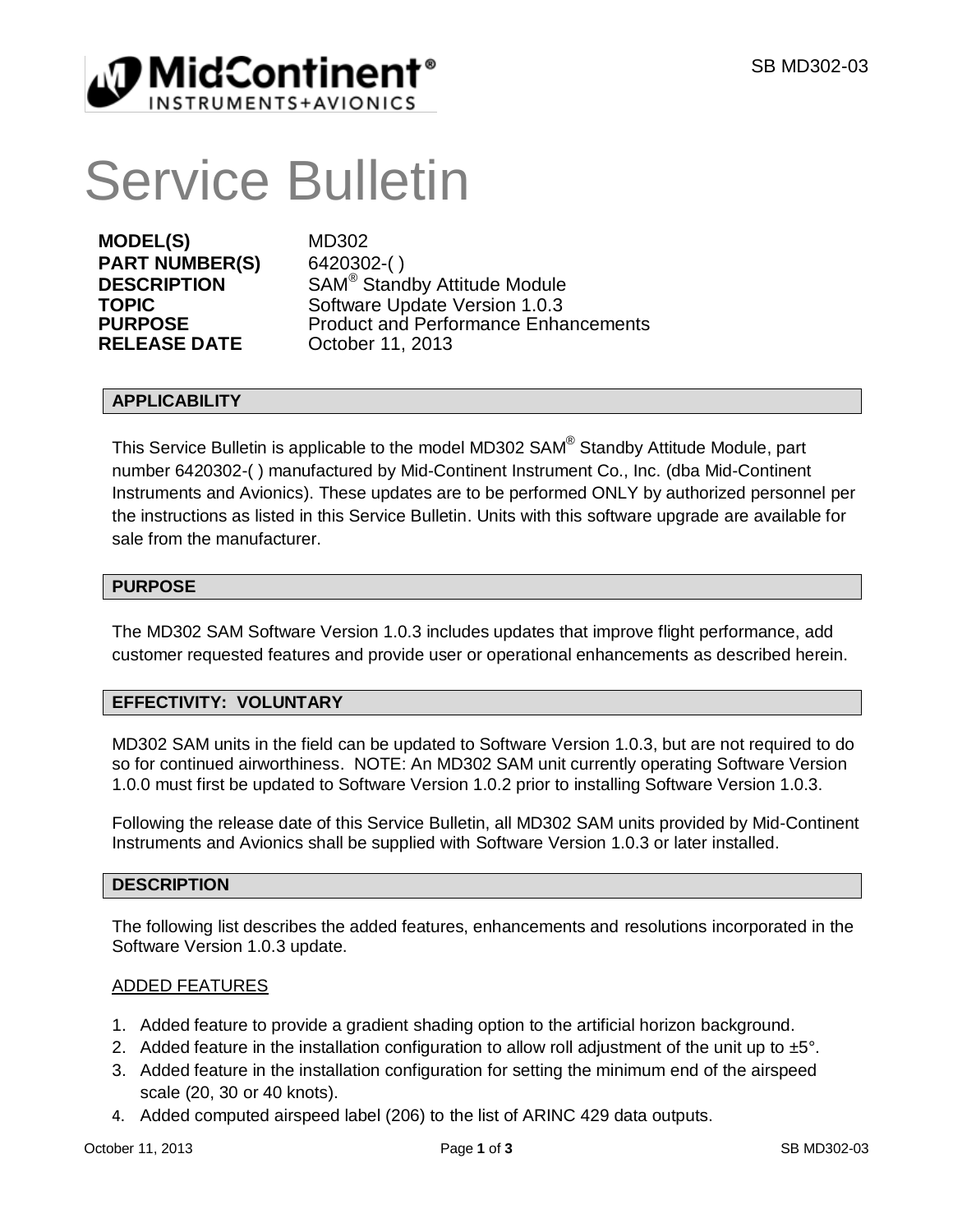

# Service Bulletin

**MODEL(S)** MD302 **PART NUMBER(S)** 6420302-( ) **RELEASE DATE** October 11, 2013

**DESCRIPTION** SAM<sup>®</sup> Standby Attitude Module **TOPIC** Software Update Version 1.0.3 **PURPOSE** Product and Performance Enhancements

### **APPLICABILITY**

This Service Bulletin is applicable to the model MD302 SAM® Standby Attitude Module, part number 6420302-( ) manufactured by Mid-Continent Instrument Co., Inc. (dba Mid-Continent Instruments and Avionics). These updates are to be performed ONLY by authorized personnel per the instructions as listed in this Service Bulletin. Units with this software upgrade are available for sale from the manufacturer.

### **PURPOSE**

The MD302 SAM Software Version 1.0.3 includes updates that improve flight performance, add customer requested features and provide user or operational enhancements as described herein.

## **EFFECTIVITY: VOLUNTARY**

MD302 SAM units in the field can be updated to Software Version 1.0.3, but are not required to do so for continued airworthiness. NOTE: An MD302 SAM unit currently operating Software Version 1.0.0 must first be updated to Software Version 1.0.2 prior to installing Software Version 1.0.3.

Following the release date of this Service Bulletin, all MD302 SAM units provided by Mid-Continent Instruments and Avionics shall be supplied with Software Version 1.0.3 or later installed.

#### **DESCRIPTION**

The following list describes the added features, enhancements and resolutions incorporated in the Software Version 1.0.3 update.

#### ADDED FEATURES

- 1. Added feature to provide a gradient shading option to the artificial horizon background.
- 2. Added feature in the installation configuration to allow roll adjustment of the unit up to  $±5^\circ$ .
- 3. Added feature in the installation configuration for setting the minimum end of the airspeed scale (20, 30 or 40 knots).
- 4. Added computed airspeed label (206) to the list of ARINC 429 data outputs.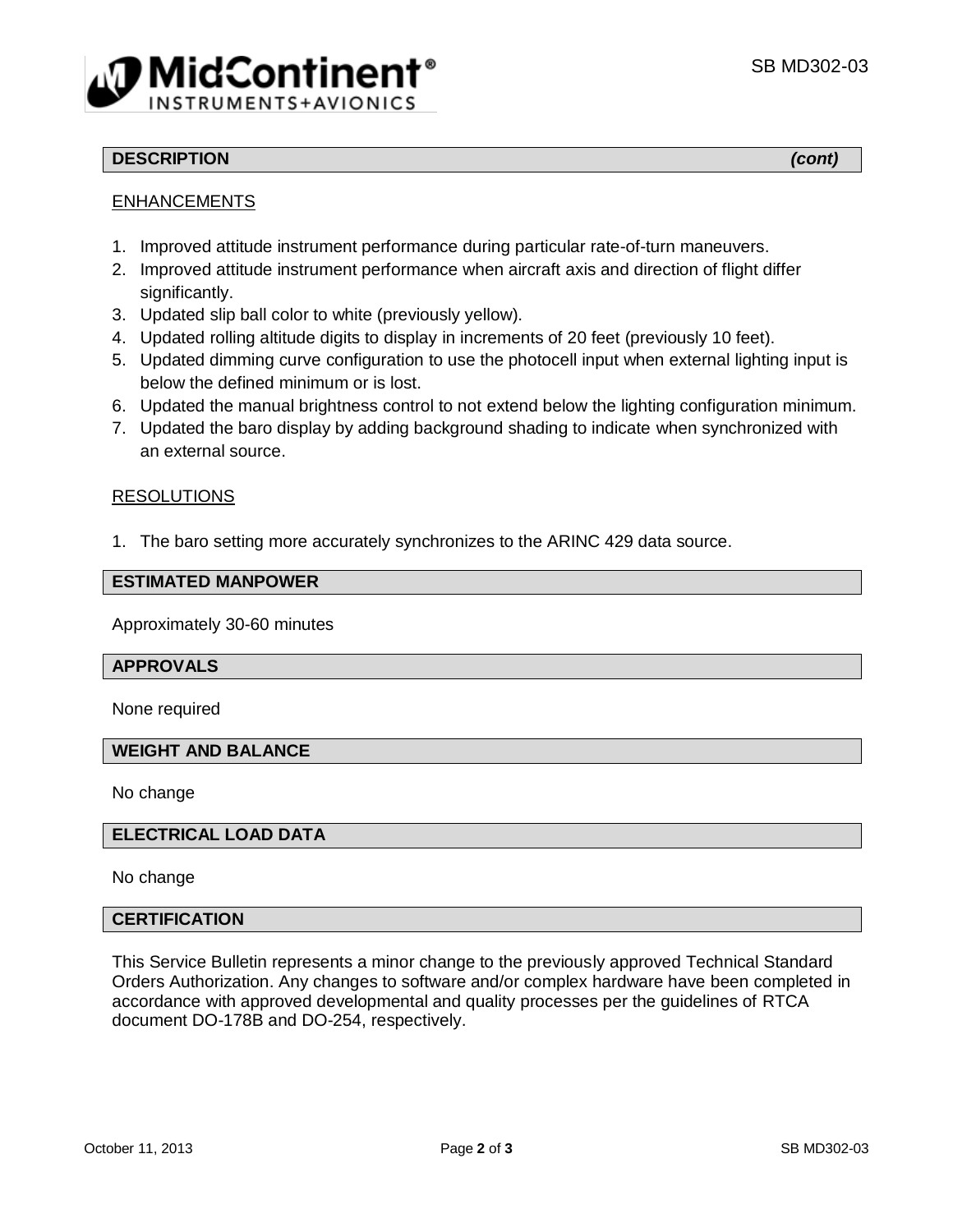

## **DESCRIPTION** *(cont)*

## **ENHANCEMENTS**

- 1. Improved attitude instrument performance during particular rate-of-turn maneuvers.
- 2. Improved attitude instrument performance when aircraft axis and direction of flight differ significantly.
- 3. Updated slip ball color to white (previously yellow).
- 4. Updated rolling altitude digits to display in increments of 20 feet (previously 10 feet).
- 5. Updated dimming curve configuration to use the photocell input when external lighting input is below the defined minimum or is lost.
- 6. Updated the manual brightness control to not extend below the lighting configuration minimum.
- 7. Updated the baro display by adding background shading to indicate when synchronized with an external source.

### RESOLUTIONS

1. The baro setting more accurately synchronizes to the ARINC 429 data source.

#### **ESTIMATED MANPOWER**

Approximately 30-60 minutes

#### **APPROVALS**

None required

#### **WEIGHT AND BALANCE**

No change

#### **ELECTRICAL LOAD DATA**

No change

### **CERTIFICATION**

This Service Bulletin represents a minor change to the previously approved Technical Standard Orders Authorization. Any changes to software and/or complex hardware have been completed in accordance with approved developmental and quality processes per the guidelines of RTCA document DO-178B and DO-254, respectively.